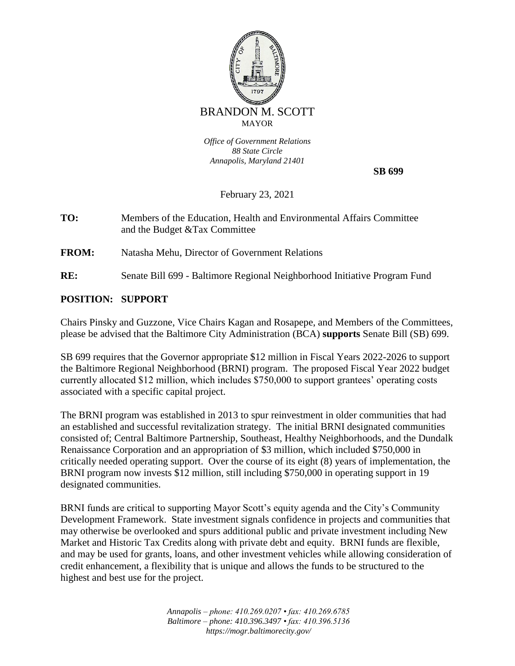

*Office of Government Relations 88 State Circle Annapolis, Maryland 21401*

 **SB 699**

February 23, 2021

**TO:** Members of the Education, Health and Environmental Affairs Committee and the Budget &Tax Committee

**FROM:** Natasha Mehu, Director of Government Relations

**RE:** Senate Bill 699 - Baltimore Regional Neighborhood Initiative Program Fund

## **POSITION: SUPPORT**

Chairs Pinsky and Guzzone, Vice Chairs Kagan and Rosapepe, and Members of the Committees, please be advised that the Baltimore City Administration (BCA) **supports** Senate Bill (SB) 699.

SB 699 requires that the Governor appropriate \$12 million in Fiscal Years 2022-2026 to support the Baltimore Regional Neighborhood (BRNI) program. The proposed Fiscal Year 2022 budget currently allocated \$12 million, which includes \$750,000 to support grantees' operating costs associated with a specific capital project.

The BRNI program was established in 2013 to spur reinvestment in older communities that had an established and successful revitalization strategy. The initial BRNI designated communities consisted of; Central Baltimore Partnership, Southeast, Healthy Neighborhoods, and the Dundalk Renaissance Corporation and an appropriation of \$3 million, which included \$750,000 in critically needed operating support. Over the course of its eight (8) years of implementation, the BRNI program now invests \$12 million, still including \$750,000 in operating support in 19 designated communities.

BRNI funds are critical to supporting Mayor Scott's equity agenda and the City's Community Development Framework. State investment signals confidence in projects and communities that may otherwise be overlooked and spurs additional public and private investment including New Market and Historic Tax Credits along with private debt and equity. BRNI funds are flexible, and may be used for grants, loans, and other investment vehicles while allowing consideration of credit enhancement, a flexibility that is unique and allows the funds to be structured to the highest and best use for the project.

> *Annapolis – phone: 410.269.0207 • fax: 410.269.6785 Baltimore – phone: 410.396.3497 • fax: 410.396.5136 https://mogr.baltimorecity.gov/*